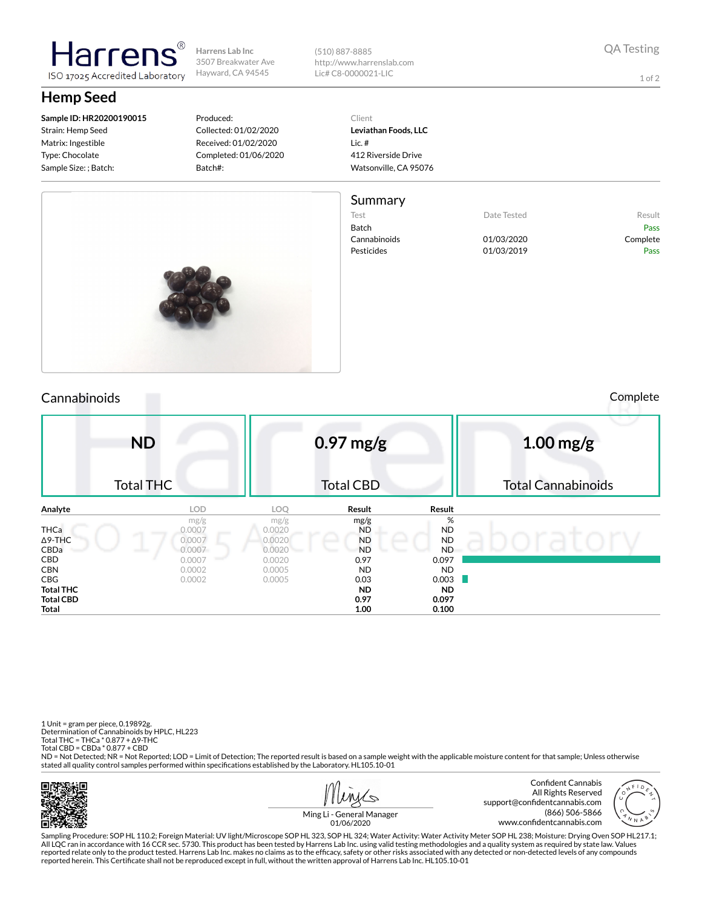**Harrens Lab Inc** 3507 Breakwater Ave Hayward, CA 94545

(510) 887-8885 http://www.harrenslab.com Lic# C8-0000021-LIC

1 of 2

# **Hemp Seed**

**Sample ID: HR20200190015** Strain: Hemp Seed Matrix: Ingestible Type: Chocolate Sample Size: ; Batch:

larrer

ISO 17025 Accredited Laboratory

#### Produced: Collected: 01/02/2020 Received: 01/02/2020 Completed: 01/06/2020 Batch#:

Client **Leviathan Foods, LLC** Lic. # 412 Riverside Drive Watsonville, CA 95076

### Summary

Test **Date Tested** Result Batch Pass Cannabinoids 01/03/2020 Complete Pesticides 01/03/2019 Pass



Cannabinoids Complete

|                                                      | <b>ND</b><br><b>Total THC</b>            |                                    | $0.97$ mg/g<br><b>Total CBD</b>             |                                   | $1.00$ mg/g<br><b>Total Cannabinoids</b> |  |  |  |
|------------------------------------------------------|------------------------------------------|------------------------------------|---------------------------------------------|-----------------------------------|------------------------------------------|--|--|--|
| Analyte                                              | <b>LOD</b>                               | LOQ                                | Result                                      | Result                            |                                          |  |  |  |
| <b>THCa</b><br>$\Delta$ 9-THC<br>CBDa                | mg/g<br>0.0007<br>0.0007<br>0.0007<br>__ | mg/g<br>0.0020<br>0.0020<br>0.0020 | mg/g<br><b>ND</b><br><b>ND</b><br><b>ND</b> | %<br><b>ND</b><br><b>ND</b><br>ND |                                          |  |  |  |
| CBD<br><b>CBN</b><br><b>CBG</b>                      | 0.0007<br>0.0002<br>0.0002               | 0.0020<br>0.0005<br>0.0005         | 0.97<br><b>ND</b><br>0.03                   | 0.097<br><b>ND</b><br>0.003       |                                          |  |  |  |
| <b>Total THC</b><br><b>Total CBD</b><br><b>Total</b> |                                          |                                    | <b>ND</b><br>0.97<br>1.00                   | <b>ND</b><br>0.097<br>0.100       |                                          |  |  |  |

1 Unit = gram per piece, 0.19892g. Determination of Cannabinoids by HPLC, HL223 Total THC = THCa \* 0.877 + ∆9-THC Total CBD = CBDa \* 0.877 + CBD ND = Not Detected; NR = Not Reported; LOD = Limit of Detection; The reported result is based on a sample weight with the applicable moisture content for that sample; Unless otherwise stated all quality control samples performed within specifications established by the Laboratory. HL105.10-01

Пß





(866) 506-5866 www.confidentcannabis.com

Sampling Procedure: SOP HL 110.2; Foreign Material: UV light/Microscope SOP HL 323, SOP HL 324; Water Activity: Water Activity Meter SOP HL 238; Moisture: Drying Oven SOP HL217.1; All LQC ran in accordance with 16 CCR sec. 5730. This product has been tested by Harrens Lab Inc. using valid testing methodologies and a quality system as required by state law. Values reported relate only to the product tested. Harrens Lab Inc. makes no claims as to the efficacy, safety or other risks associated with any detected or non-detected levels of any compounds<br>reported herein. This Certificate